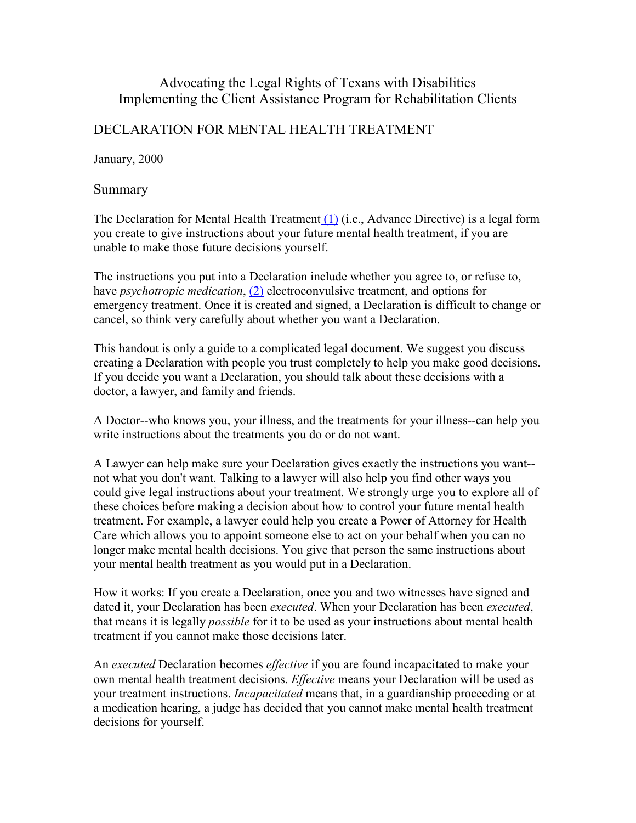# Advocating the Legal Rights of Texans with Disabilities Implementing the Client Assistance Program for Rehabilitation Clients

# DECLARATION FOR MENTAL HEALTH TREATMENT

January, 2000

## Summary

The Declaration for Mental Health Treatment (1) (i.e., Advance Directive) is a legal form you create to give instructions about your future mental health treatment, if you are unable to make those future decisions yourself.

The instructions you put into a Declaration include whether you agree to, or refuse to, have *psychotropic medication*, (2) electroconvulsive treatment, and options for emergency treatment. Once it is created and signed, a Declaration is difficult to change or cancel, so think very carefully about whether you want a Declaration.

This handout is only a guide to a complicated legal document. We suggest you discuss creating a Declaration with people you trust completely to help you make good decisions. If you decide you want a Declaration, you should talk about these decisions with a doctor, a lawyer, and family and friends.

A Doctor--who knows you, your illness, and the treatments for your illness--can help you write instructions about the treatments you do or do not want.

A Lawyer can help make sure your Declaration gives exactly the instructions you want- not what you don't want. Talking to a lawyer will also help you find other ways you could give legal instructions about your treatment. We strongly urge you to explore all of these choices before making a decision about how to control your future mental health treatment. For example, a lawyer could help you create a Power of Attorney for Health Care which allows you to appoint someone else to act on your behalf when you can no longer make mental health decisions. You give that person the same instructions about your mental health treatment as you would put in a Declaration.

How it works: If you create a Declaration, once you and two witnesses have signed and dated it, your Declaration has been *executed*. When your Declaration has been *executed*, that means it is legally possible for it to be used as your instructions about mental health treatment if you cannot make those decisions later.

An executed Declaration becomes effective if you are found incapacitated to make your own mental health treatment decisions. *Effective* means your Declaration will be used as your treatment instructions. Incapacitated means that, in a guardianship proceeding or at a medication hearing, a judge has decided that you cannot make mental health treatment decisions for yourself.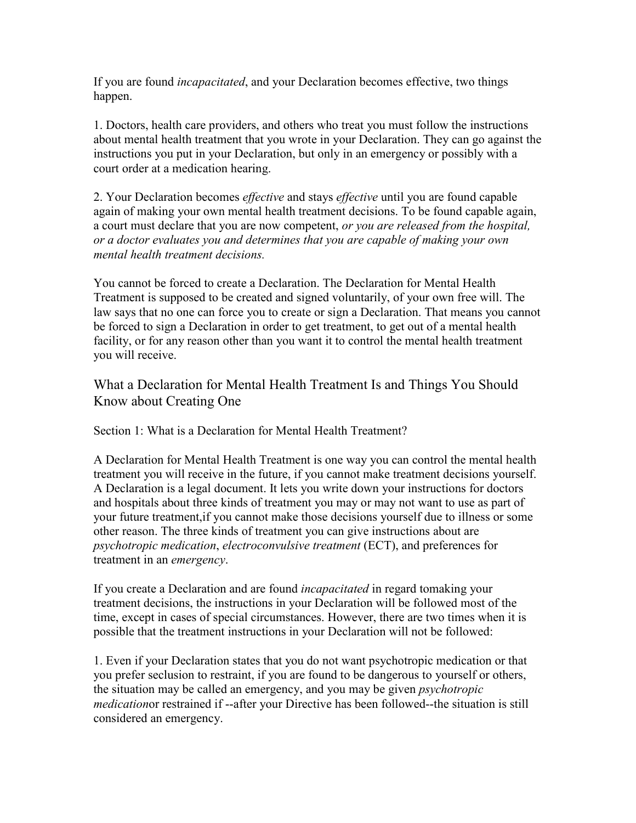If you are found incapacitated, and your Declaration becomes effective, two things happen.

1. Doctors, health care providers, and others who treat you must follow the instructions about mental health treatment that you wrote in your Declaration. They can go against the instructions you put in your Declaration, but only in an emergency or possibly with a court order at a medication hearing.

2. Your Declaration becomes *effective* and stays *effective* until you are found capable again of making your own mental health treatment decisions. To be found capable again, a court must declare that you are now competent, *or you are released from the hospital*, or a doctor evaluates you and determines that you are capable of making your own mental health treatment decisions.

You cannot be forced to create a Declaration. The Declaration for Mental Health Treatment is supposed to be created and signed voluntarily, of your own free will. The law says that no one can force you to create or sign a Declaration. That means you cannot be forced to sign a Declaration in order to get treatment, to get out of a mental health facility, or for any reason other than you want it to control the mental health treatment you will receive.

# What a Declaration for Mental Health Treatment Is and Things You Should Know about Creating One

Section 1: What is a Declaration for Mental Health Treatment?

A Declaration for Mental Health Treatment is one way you can control the mental health treatment you will receive in the future, if you cannot make treatment decisions yourself. A Declaration is a legal document. It lets you write down your instructions for doctors and hospitals about three kinds of treatment you may or may not want to use as part of your future treatment,if you cannot make those decisions yourself due to illness or some other reason. The three kinds of treatment you can give instructions about are psychotropic medication, electroconvulsive treatment (ECT), and preferences for treatment in an emergency.

If you create a Declaration and are found *incapacitated* in regard tomaking your treatment decisions, the instructions in your Declaration will be followed most of the time, except in cases of special circumstances. However, there are two times when it is possible that the treatment instructions in your Declaration will not be followed:

1. Even if your Declaration states that you do not want psychotropic medication or that you prefer seclusion to restraint, if you are found to be dangerous to yourself or others, the situation may be called an emergency, and you may be given psychotropic medicationor restrained if --after your Directive has been followed--the situation is still considered an emergency.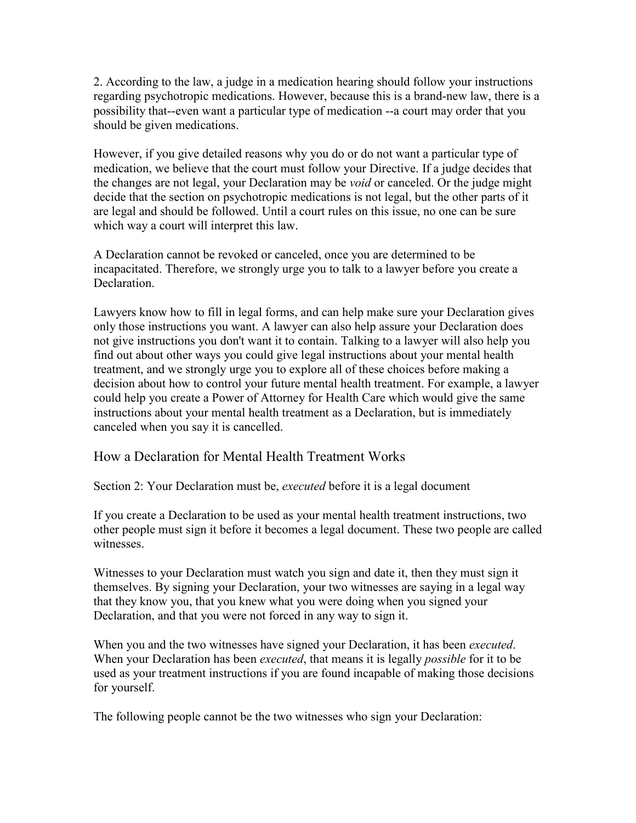2. According to the law, a judge in a medication hearing should follow your instructions regarding psychotropic medications. However, because this is a brand-new law, there is a possibility that--even want a particular type of medication --a court may order that you should be given medications.

However, if you give detailed reasons why you do or do not want a particular type of medication, we believe that the court must follow your Directive. If a judge decides that the changes are not legal, your Declaration may be void or canceled. Or the judge might decide that the section on psychotropic medications is not legal, but the other parts of it are legal and should be followed. Until a court rules on this issue, no one can be sure which way a court will interpret this law.

A Declaration cannot be revoked or canceled, once you are determined to be incapacitated. Therefore, we strongly urge you to talk to a lawyer before you create a **Declaration** 

Lawyers know how to fill in legal forms, and can help make sure your Declaration gives only those instructions you want. A lawyer can also help assure your Declaration does not give instructions you don't want it to contain. Talking to a lawyer will also help you find out about other ways you could give legal instructions about your mental health treatment, and we strongly urge you to explore all of these choices before making a decision about how to control your future mental health treatment. For example, a lawyer could help you create a Power of Attorney for Health Care which would give the same instructions about your mental health treatment as a Declaration, but is immediately canceled when you say it is cancelled.

# How a Declaration for Mental Health Treatment Works

Section 2: Your Declaration must be, *executed* before it is a legal document

If you create a Declaration to be used as your mental health treatment instructions, two other people must sign it before it becomes a legal document. These two people are called witnesses.

Witnesses to your Declaration must watch you sign and date it, then they must sign it themselves. By signing your Declaration, your two witnesses are saying in a legal way that they know you, that you knew what you were doing when you signed your Declaration, and that you were not forced in any way to sign it.

When you and the two witnesses have signed your Declaration, it has been *executed*. When your Declaration has been *executed*, that means it is legally *possible* for it to be used as your treatment instructions if you are found incapable of making those decisions for yourself.

The following people cannot be the two witnesses who sign your Declaration: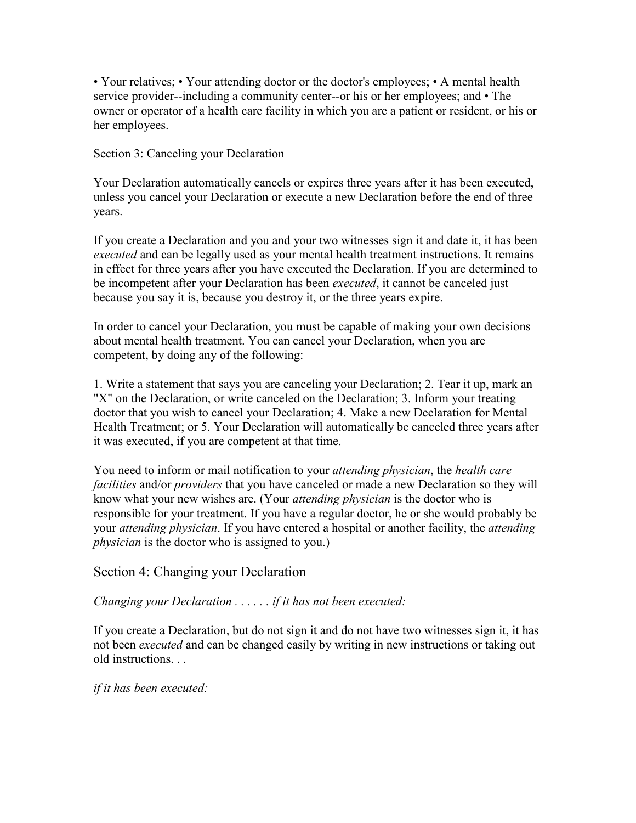• Your relatives; • Your attending doctor or the doctor's employees; • A mental health service provider--including a community center--or his or her employees; and • The owner or operator of a health care facility in which you are a patient or resident, or his or her employees.

Section 3: Canceling your Declaration

Your Declaration automatically cancels or expires three years after it has been executed, unless you cancel your Declaration or execute a new Declaration before the end of three years.

If you create a Declaration and you and your two witnesses sign it and date it, it has been executed and can be legally used as your mental health treatment instructions. It remains in effect for three years after you have executed the Declaration. If you are determined to be incompetent after your Declaration has been *executed*, it cannot be canceled just because you say it is, because you destroy it, or the three years expire.

In order to cancel your Declaration, you must be capable of making your own decisions about mental health treatment. You can cancel your Declaration, when you are competent, by doing any of the following:

1. Write a statement that says you are canceling your Declaration; 2. Tear it up, mark an "X" on the Declaration, or write canceled on the Declaration; 3. Inform your treating doctor that you wish to cancel your Declaration; 4. Make a new Declaration for Mental Health Treatment; or 5. Your Declaration will automatically be canceled three years after it was executed, if you are competent at that time.

You need to inform or mail notification to your *attending physician*, the *health care* facilities and/or *providers* that you have canceled or made a new Declaration so they will know what your new wishes are. (Your attending physician is the doctor who is responsible for your treatment. If you have a regular doctor, he or she would probably be your *attending physician*. If you have entered a hospital or another facility, the *attending* physician is the doctor who is assigned to you.)

# Section 4: Changing your Declaration

Changing your Declaration . . . . . . if it has not been executed:

If you create a Declaration, but do not sign it and do not have two witnesses sign it, it has not been *executed* and can be changed easily by writing in new instructions or taking out old instructions.

if it has been executed: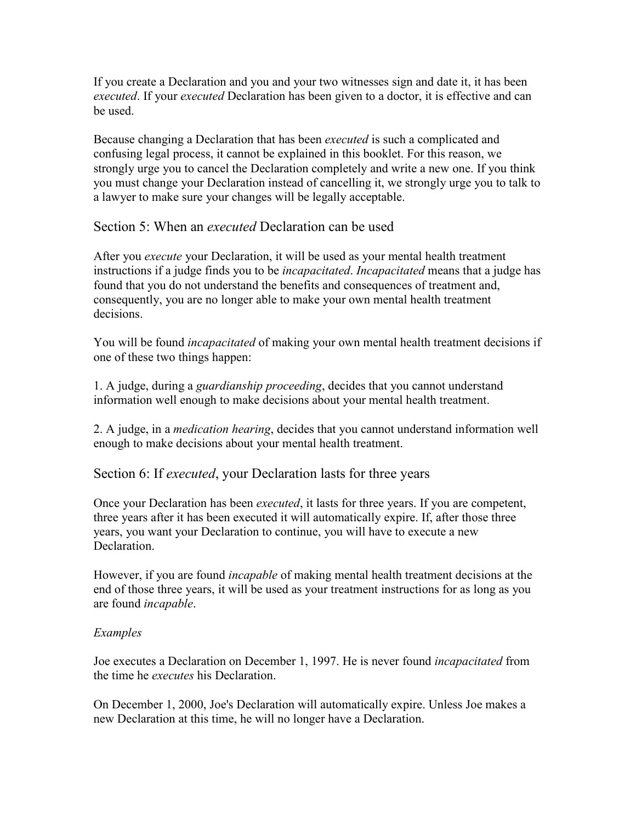If you create a Declaration and you and your two witnesses sign and date it, it has been executed. If your executed Declaration has been given to a doctor, it is effective and can be used.

Because changing a Declaration that has been *executed* is such a complicated and confusing legal process, it cannot be explained in this booklet. For this reason, we strongly urge you to cancel the Declaration completely and write a new one. If you think you must change your Declaration instead of cancelling it, we strongly urge you to talk to a lawyer to make sure your changes will be legally acceptable.

Section 5: When an *executed* Declaration can be used

After you *execute* your Declaration, it will be used as your mental health treatment instructions if a judge finds you to be *incapacitated. Incapacitated* means that a judge has found that you do not understand the benefits and consequences of treatment and, consequently, you are no longer able to make your own mental health treatment decisions.

You will be found *incapacitated* of making your own mental health treatment decisions if one of these two things happen:

1. A judge, during a guardianship proceeding, decides that you cannot understand information well enough to make decisions about your mental health treatment.

2. A judge, in a medication hearing, decides that you cannot understand information well enough to make decisions about your mental health treatment.

Section 6: If *executed*, your Declaration lasts for three years

Once your Declaration has been executed, it lasts for three years. If you are competent, three years after it has been executed it will automatically expire. If, after those three years, you want your Declaration to continue, you will have to execute a new **Declaration** 

However, if you are found *incapable* of making mental health treatment decisions at the end of those three years, it will be used as your treatment instructions for as long as you are found incapable.

## Examples

Joe executes a Declaration on December 1, 1997. He is never found incapacitated from the time he *executes* his Declaration.

On December 1, 2000, Joe's Declaration will automatically expire. Unless Joe makes a new Declaration at this time, he will no longer have a Declaration.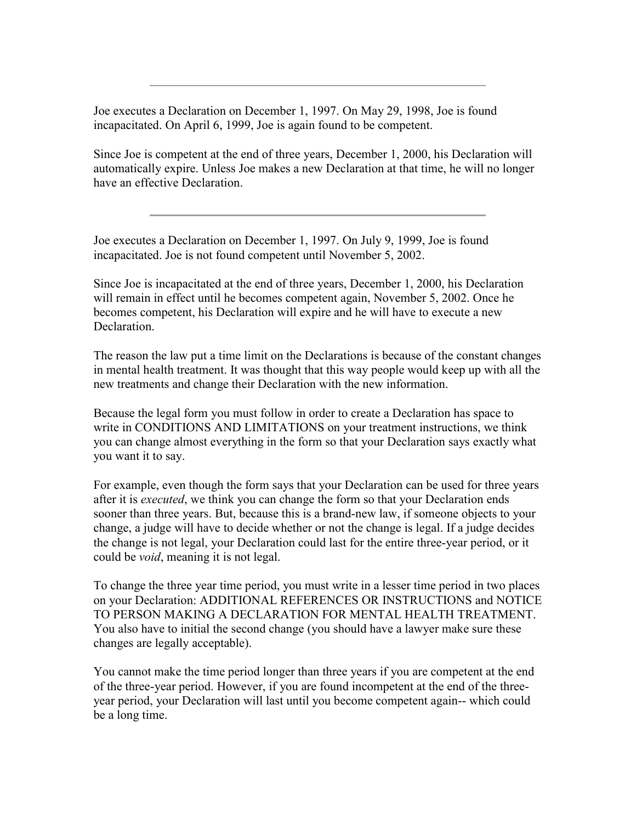Joe executes a Declaration on December 1, 1997. On May 29, 1998, Joe is found incapacitated. On April 6, 1999, Joe is again found to be competent.

Since Joe is competent at the end of three years, December 1, 2000, his Declaration will automatically expire. Unless Joe makes a new Declaration at that time, he will no longer have an effective Declaration.

Joe executes a Declaration on December 1, 1997. On July 9, 1999, Joe is found incapacitated. Joe is not found competent until November 5, 2002.

Since Joe is incapacitated at the end of three years, December 1, 2000, his Declaration will remain in effect until he becomes competent again, November 5, 2002. Once he becomes competent, his Declaration will expire and he will have to execute a new Declaration.

The reason the law put a time limit on the Declarations is because of the constant changes in mental health treatment. It was thought that this way people would keep up with all the new treatments and change their Declaration with the new information.

Because the legal form you must follow in order to create a Declaration has space to write in CONDITIONS AND LIMITATIONS on your treatment instructions, we think you can change almost everything in the form so that your Declaration says exactly what you want it to say.

For example, even though the form says that your Declaration can be used for three years after it is *executed*, we think you can change the form so that your Declaration ends sooner than three years. But, because this is a brand-new law, if someone objects to your change, a judge will have to decide whether or not the change is legal. If a judge decides the change is not legal, your Declaration could last for the entire three-year period, or it could be void, meaning it is not legal.

To change the three year time period, you must write in a lesser time period in two places on your Declaration: ADDITIONAL REFERENCES OR INSTRUCTIONS and NOTICE TO PERSON MAKING A DECLARATION FOR MENTAL HEALTH TREATMENT. You also have to initial the second change (you should have a lawyer make sure these changes are legally acceptable).

You cannot make the time period longer than three years if you are competent at the end of the three-year period. However, if you are found incompetent at the end of the threeyear period, your Declaration will last until you become competent again-- which could be a long time.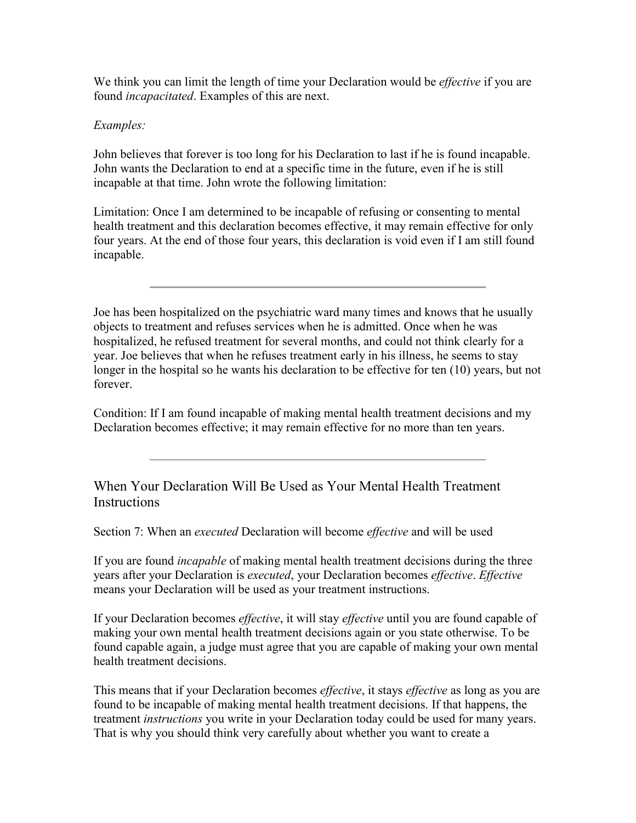We think you can limit the length of time your Declaration would be *effective* if you are found incapacitated. Examples of this are next.

## Examples:

John believes that forever is too long for his Declaration to last if he is found incapable. John wants the Declaration to end at a specific time in the future, even if he is still incapable at that time. John wrote the following limitation:

Limitation: Once I am determined to be incapable of refusing or consenting to mental health treatment and this declaration becomes effective, it may remain effective for only four years. At the end of those four years, this declaration is void even if I am still found incapable.

Joe has been hospitalized on the psychiatric ward many times and knows that he usually objects to treatment and refuses services when he is admitted. Once when he was hospitalized, he refused treatment for several months, and could not think clearly for a year. Joe believes that when he refuses treatment early in his illness, he seems to stay longer in the hospital so he wants his declaration to be effective for ten (10) years, but not forever.

Condition: If I am found incapable of making mental health treatment decisions and my Declaration becomes effective; it may remain effective for no more than ten years.

When Your Declaration Will Be Used as Your Mental Health Treatment **Instructions** 

Section 7: When an *executed* Declaration will become *effective* and will be used

If you are found *incapable* of making mental health treatment decisions during the three years after your Declaration is executed, your Declaration becomes effective. Effective means your Declaration will be used as your treatment instructions.

If your Declaration becomes *effective*, it will stay *effective* until you are found capable of making your own mental health treatment decisions again or you state otherwise. To be found capable again, a judge must agree that you are capable of making your own mental health treatment decisions.

This means that if your Declaration becomes *effective*, it stays *effective* as long as you are found to be incapable of making mental health treatment decisions. If that happens, the treatment instructions you write in your Declaration today could be used for many years. That is why you should think very carefully about whether you want to create a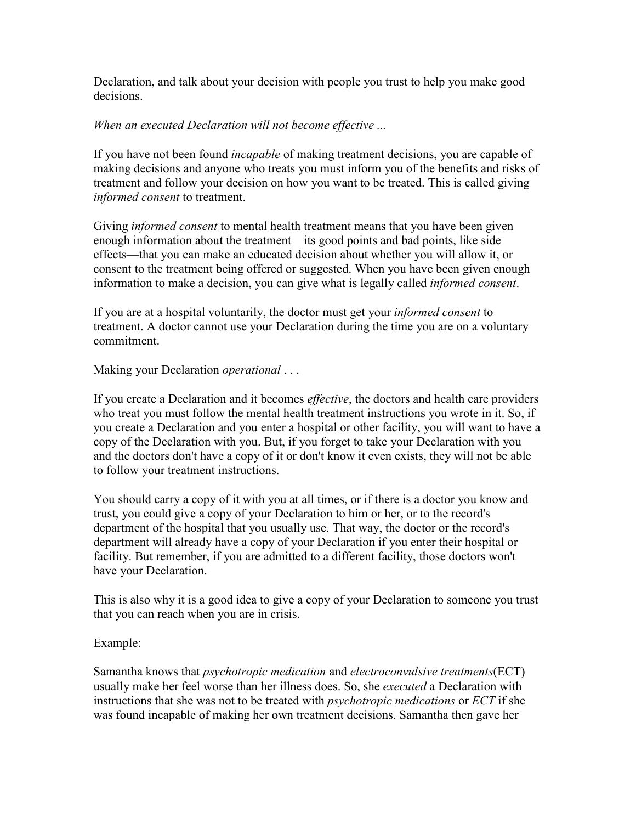Declaration, and talk about your decision with people you trust to help you make good decisions.

### When an executed Declaration will not become effective ...

If you have not been found *incapable* of making treatment decisions, you are capable of making decisions and anyone who treats you must inform you of the benefits and risks of treatment and follow your decision on how you want to be treated. This is called giving informed consent to treatment.

Giving *informed consent* to mental health treatment means that you have been given enough information about the treatment—its good points and bad points, like side effects—that you can make an educated decision about whether you will allow it, or consent to the treatment being offered or suggested. When you have been given enough information to make a decision, you can give what is legally called informed consent.

If you are at a hospital voluntarily, the doctor must get your informed consent to treatment. A doctor cannot use your Declaration during the time you are on a voluntary commitment.

#### Making your Declaration *operational* ...

If you create a Declaration and it becomes effective, the doctors and health care providers who treat you must follow the mental health treatment instructions you wrote in it. So, if you create a Declaration and you enter a hospital or other facility, you will want to have a copy of the Declaration with you. But, if you forget to take your Declaration with you and the doctors don't have a copy of it or don't know it even exists, they will not be able to follow your treatment instructions.

You should carry a copy of it with you at all times, or if there is a doctor you know and trust, you could give a copy of your Declaration to him or her, or to the record's department of the hospital that you usually use. That way, the doctor or the record's department will already have a copy of your Declaration if you enter their hospital or facility. But remember, if you are admitted to a different facility, those doctors won't have your Declaration.

This is also why it is a good idea to give a copy of your Declaration to someone you trust that you can reach when you are in crisis.

#### Example:

Samantha knows that psychotropic medication and electroconvulsive treatments(ECT) usually make her feel worse than her illness does. So, she executed a Declaration with instructions that she was not to be treated with psychotropic medications or ECT if she was found incapable of making her own treatment decisions. Samantha then gave her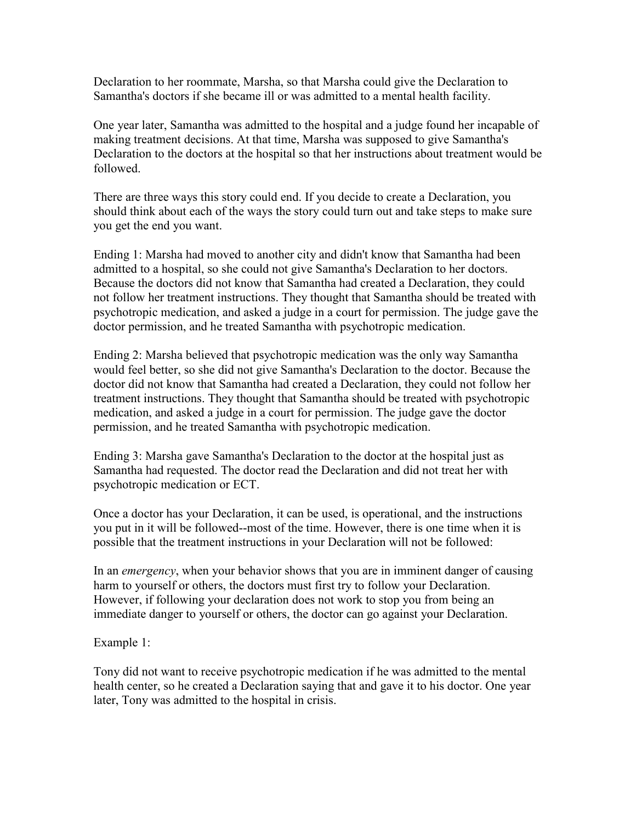Declaration to her roommate, Marsha, so that Marsha could give the Declaration to Samantha's doctors if she became ill or was admitted to a mental health facility.

One year later, Samantha was admitted to the hospital and a judge found her incapable of making treatment decisions. At that time, Marsha was supposed to give Samantha's Declaration to the doctors at the hospital so that her instructions about treatment would be followed.

There are three ways this story could end. If you decide to create a Declaration, you should think about each of the ways the story could turn out and take steps to make sure you get the end you want.

Ending 1: Marsha had moved to another city and didn't know that Samantha had been admitted to a hospital, so she could not give Samantha's Declaration to her doctors. Because the doctors did not know that Samantha had created a Declaration, they could not follow her treatment instructions. They thought that Samantha should be treated with psychotropic medication, and asked a judge in a court for permission. The judge gave the doctor permission, and he treated Samantha with psychotropic medication.

Ending 2: Marsha believed that psychotropic medication was the only way Samantha would feel better, so she did not give Samantha's Declaration to the doctor. Because the doctor did not know that Samantha had created a Declaration, they could not follow her treatment instructions. They thought that Samantha should be treated with psychotropic medication, and asked a judge in a court for permission. The judge gave the doctor permission, and he treated Samantha with psychotropic medication.

Ending 3: Marsha gave Samantha's Declaration to the doctor at the hospital just as Samantha had requested. The doctor read the Declaration and did not treat her with psychotropic medication or ECT.

Once a doctor has your Declaration, it can be used, is operational, and the instructions you put in it will be followed--most of the time. However, there is one time when it is possible that the treatment instructions in your Declaration will not be followed:

In an *emergency*, when your behavior shows that you are in imminent danger of causing harm to yourself or others, the doctors must first try to follow your Declaration. However, if following your declaration does not work to stop you from being an immediate danger to yourself or others, the doctor can go against your Declaration.

## Example 1:

Tony did not want to receive psychotropic medication if he was admitted to the mental health center, so he created a Declaration saying that and gave it to his doctor. One year later, Tony was admitted to the hospital in crisis.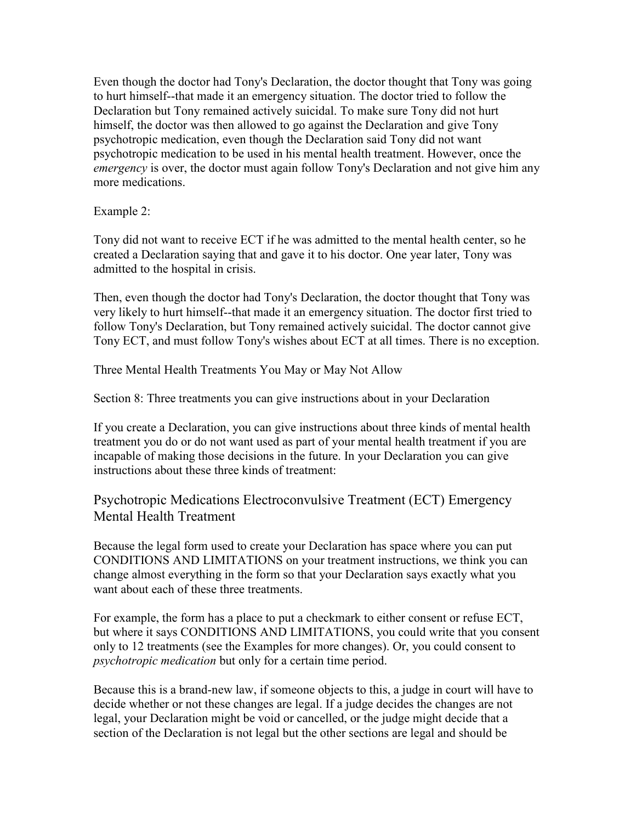Even though the doctor had Tony's Declaration, the doctor thought that Tony was going to hurt himself--that made it an emergency situation. The doctor tried to follow the Declaration but Tony remained actively suicidal. To make sure Tony did not hurt himself, the doctor was then allowed to go against the Declaration and give Tony psychotropic medication, even though the Declaration said Tony did not want psychotropic medication to be used in his mental health treatment. However, once the emergency is over, the doctor must again follow Tony's Declaration and not give him any more medications.

Example 2:

Tony did not want to receive ECT if he was admitted to the mental health center, so he created a Declaration saying that and gave it to his doctor. One year later, Tony was admitted to the hospital in crisis.

Then, even though the doctor had Tony's Declaration, the doctor thought that Tony was very likely to hurt himself--that made it an emergency situation. The doctor first tried to follow Tony's Declaration, but Tony remained actively suicidal. The doctor cannot give Tony ECT, and must follow Tony's wishes about ECT at all times. There is no exception.

Three Mental Health Treatments You May or May Not Allow

Section 8: Three treatments you can give instructions about in your Declaration

If you create a Declaration, you can give instructions about three kinds of mental health treatment you do or do not want used as part of your mental health treatment if you are incapable of making those decisions in the future. In your Declaration you can give instructions about these three kinds of treatment:

Psychotropic Medications Electroconvulsive Treatment (ECT) Emergency Mental Health Treatment

Because the legal form used to create your Declaration has space where you can put CONDITIONS AND LIMITATIONS on your treatment instructions, we think you can change almost everything in the form so that your Declaration says exactly what you want about each of these three treatments.

For example, the form has a place to put a checkmark to either consent or refuse ECT, but where it says CONDITIONS AND LIMITATIONS, you could write that you consent only to 12 treatments (see the Examples for more changes). Or, you could consent to psychotropic medication but only for a certain time period.

Because this is a brand-new law, if someone objects to this, a judge in court will have to decide whether or not these changes are legal. If a judge decides the changes are not legal, your Declaration might be void or cancelled, or the judge might decide that a section of the Declaration is not legal but the other sections are legal and should be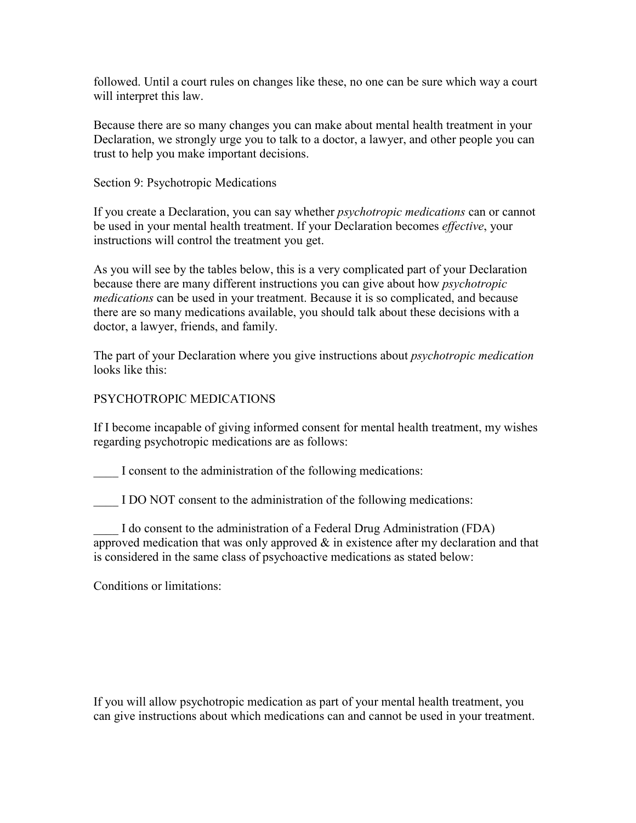followed. Until a court rules on changes like these, no one can be sure which way a court will interpret this law.

Because there are so many changes you can make about mental health treatment in your Declaration, we strongly urge you to talk to a doctor, a lawyer, and other people you can trust to help you make important decisions.

#### Section 9: Psychotropic Medications

If you create a Declaration, you can say whether *psychotropic medications* can or cannot be used in your mental health treatment. If your Declaration becomes *effective*, your instructions will control the treatment you get.

As you will see by the tables below, this is a very complicated part of your Declaration because there are many different instructions you can give about how psychotropic medications can be used in your treatment. Because it is so complicated, and because there are so many medications available, you should talk about these decisions with a doctor, a lawyer, friends, and family.

The part of your Declaration where you give instructions about *psychotropic medication* looks like this:

#### PSYCHOTROPIC MEDICATIONS

If I become incapable of giving informed consent for mental health treatment, my wishes regarding psychotropic medications are as follows:

I consent to the administration of the following medications:

I DO NOT consent to the administration of the following medications:

\_\_\_\_ I do consent to the administration of a Federal Drug Administration (FDA) approved medication that was only approved  $\&$  in existence after my declaration and that is considered in the same class of psychoactive medications as stated below:

Conditions or limitations:

If you will allow psychotropic medication as part of your mental health treatment, you can give instructions about which medications can and cannot be used in your treatment.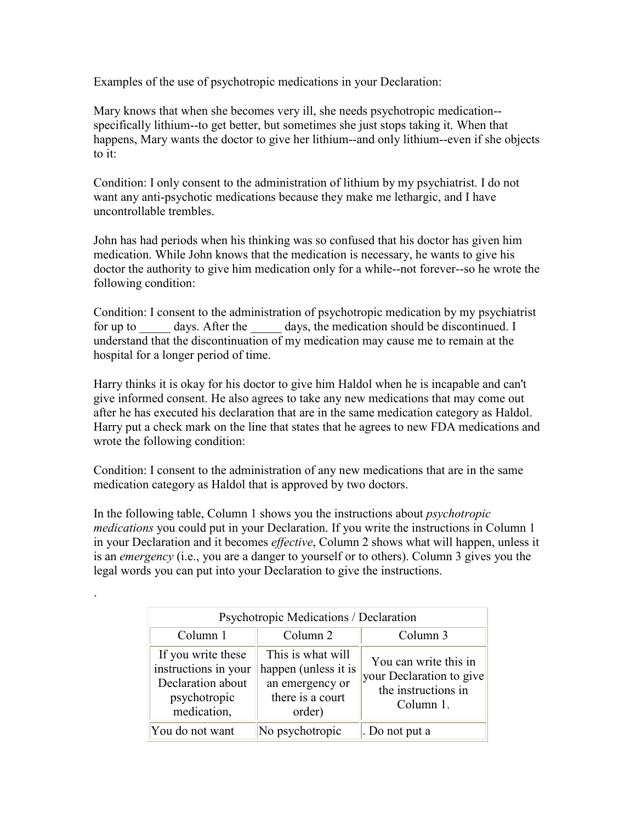Examples of the use of psychotropic medications in your Declaration:

Mary knows that when she becomes very ill, she needs psychotropic medication- specifically lithium--to get better, but sometimes she just stops taking it. When that happens, Mary wants the doctor to give her lithium--and only lithium--even if she objects to it:

Condition: I only consent to the administration of lithium by my psychiatrist. I do not want any anti-psychotic medications because they make me lethargic, and I have uncontrollable trembles.

John has had periods when his thinking was so confused that his doctor has given him medication. While John knows that the medication is necessary, he wants to give his doctor the authority to give him medication only for a while--not forever--so he wrote the following condition:

Condition: I consent to the administration of psychotropic medication by my psychiatrist for up to days. After the days, the medication should be discontinued. I understand that the discontinuation of my medication may cause me to remain at the hospital for a longer period of time.

Harry thinks it is okay for his doctor to give him Haldol when he is incapable and can't give informed consent. He also agrees to take any new medications that may come out after he has executed his declaration that are in the same medication category as Haldol. Harry put a check mark on the line that states that he agrees to new FDA medications and wrote the following condition:

Condition: I consent to the administration of any new medications that are in the same medication category as Haldol that is approved by two doctors.

In the following table, Column 1 shows you the instructions about psychotropic medications you could put in your Declaration. If you write the instructions in Column 1 in your Declaration and it becomes effective, Column 2 shows what will happen, unless it is an emergency (i.e., you are a danger to yourself or to others). Column 3 gives you the legal words you can put into your Declaration to give the instructions.

`

| Psychotropic Medications / Declaration                                                         |                                                                                            |                                                                                       |  |  |  |
|------------------------------------------------------------------------------------------------|--------------------------------------------------------------------------------------------|---------------------------------------------------------------------------------------|--|--|--|
| Column 1<br>Column <sub>2</sub><br>Column 3                                                    |                                                                                            |                                                                                       |  |  |  |
| If you write these<br>instructions in your<br>Declaration about<br>psychotropic<br>medication, | This is what will<br>happen (unless it is<br>an emergency or<br>there is a court<br>order) | You can write this in<br>your Declaration to give<br>the instructions in<br>Column 1. |  |  |  |
| You do not want                                                                                | No psychotropic                                                                            | . Do not put a                                                                        |  |  |  |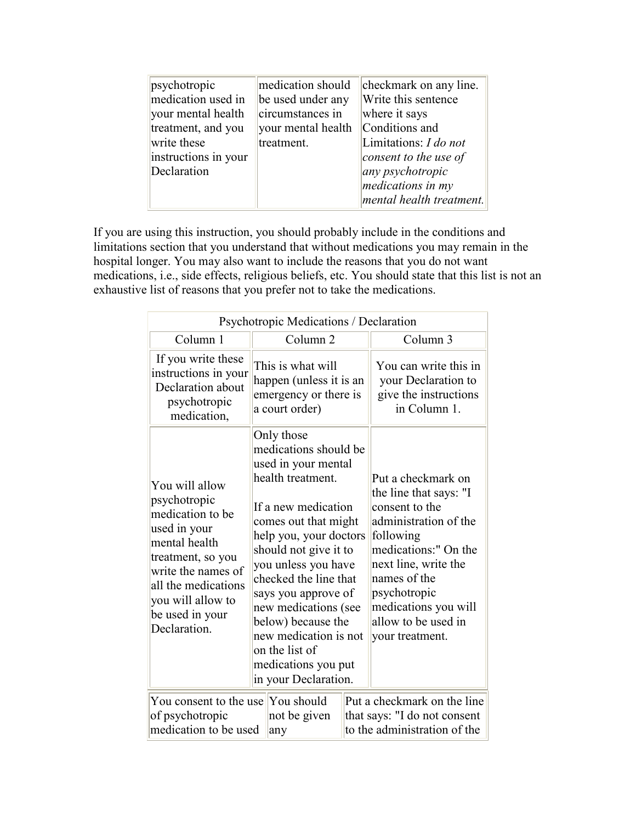| psychotropic         | medication should  | checkmark on any line.    |
|----------------------|--------------------|---------------------------|
| medication used in   | be used under any  | Write this sentence       |
| your mental health   | circumstances in   | where it says             |
| treatment, and you   | your mental health | Conditions and            |
| write these          | treatment.         | Limitations: I do not     |
| instructions in your |                    | consent to the use of     |
| Declaration          |                    | $\alpha$ any psychotropic |
|                      |                    | medications in my         |
|                      |                    | mental health treatment.  |

If you are using this instruction, you should probably include in the conditions and limitations section that you understand that without medications you may remain in the hospital longer. You may also want to include the reasons that you do not want medications, i.e., side effects, religious beliefs, etc. You should state that this list is not an exhaustive list of reasons that you prefer not to take the medications.

| Psychotropic Medications / Declaration                                                                                                                                                                        |                                                                                         |                                                                                                                                                                                                                                                                                                                                                                                                  |  |                                                                                                                                                                                                                                                        |  |
|---------------------------------------------------------------------------------------------------------------------------------------------------------------------------------------------------------------|-----------------------------------------------------------------------------------------|--------------------------------------------------------------------------------------------------------------------------------------------------------------------------------------------------------------------------------------------------------------------------------------------------------------------------------------------------------------------------------------------------|--|--------------------------------------------------------------------------------------------------------------------------------------------------------------------------------------------------------------------------------------------------------|--|
| Column 1                                                                                                                                                                                                      |                                                                                         | Column <sub>2</sub>                                                                                                                                                                                                                                                                                                                                                                              |  | Column 3                                                                                                                                                                                                                                               |  |
| If you write these<br>instructions in your<br>Declaration about<br>psychotropic<br>medication,                                                                                                                | This is what will<br>happen (unless it is an<br>emergency or there is<br>a court order) |                                                                                                                                                                                                                                                                                                                                                                                                  |  | You can write this in<br>your Declaration to<br>give the instructions<br>in Column 1.                                                                                                                                                                  |  |
| You will allow<br>psychotropic<br>medication to be<br>used in your<br>mental health<br>treatment, so you<br>write the names of<br>all the medications<br>you will allow to<br>be used in your<br>Declaration. |                                                                                         | Only those<br>medications should be<br>used in your mental<br>health treatment.<br>If a new medication<br>comes out that might<br>help you, your doctors<br>should not give it to<br>you unless you have<br>checked the line that<br>says you approve of<br>new medications (see<br>below) because the<br>new medication is not<br>on the list of<br>medications you put<br>in your Declaration. |  | Put a checkmark on<br>the line that says: "I<br>consent to the<br>administration of the<br>following<br>medications:" On the<br>next line, write the<br>names of the<br>psychotropic<br>medications you will<br>allow to be used in<br>your treatment. |  |
| You consent to the use                                                                                                                                                                                        |                                                                                         | You should                                                                                                                                                                                                                                                                                                                                                                                       |  | Put a checkmark on the line                                                                                                                                                                                                                            |  |
| of psychotropic<br>medication to be used                                                                                                                                                                      |                                                                                         | not be given<br>any                                                                                                                                                                                                                                                                                                                                                                              |  | that says: "I do not consent<br>to the administration of the                                                                                                                                                                                           |  |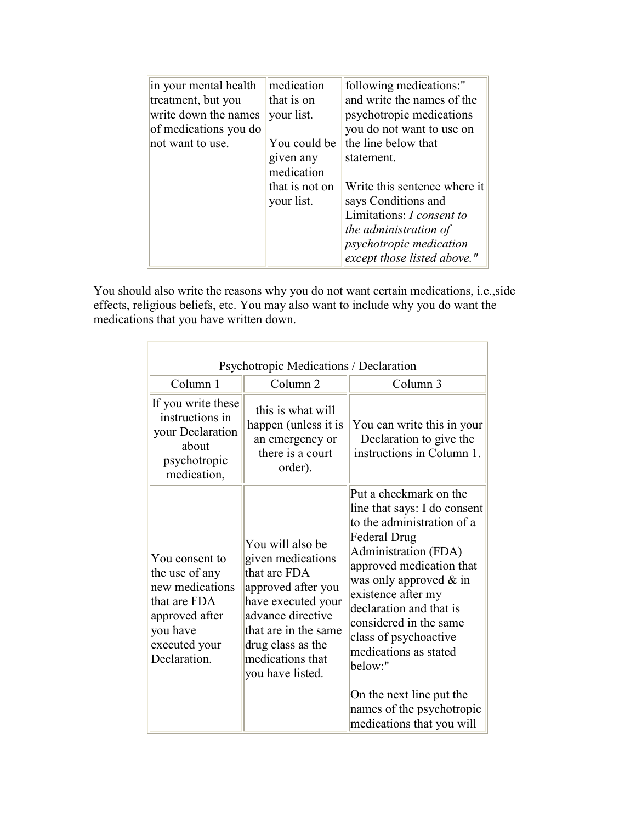| in your mental health | medication     | following medications:"          |
|-----------------------|----------------|----------------------------------|
| treatment, but you    | that is on     | and write the names of the       |
| write down the names  | your list.     | psychotropic medications         |
| of medications you do |                | you do not want to use on        |
| not want to use.      | You could be   | the line below that              |
|                       | given any      | statement.                       |
|                       | medication     |                                  |
|                       | that is not on | Write this sentence where it     |
|                       | your list.     | says Conditions and              |
|                       |                | Limitations: <i>I consent to</i> |
|                       |                | the administration of            |
|                       |                | <i>psychotropic medication</i>   |
|                       |                | except those listed above."      |

You should also write the reasons why you do not want certain medications, i.e.,side effects, religious beliefs, etc. You may also want to include why you do want the medications that you have written down.

| Psychotropic Medications / Declaration                                                                                             |                                                                                                                                                                                                             |                                                                                                                                                                                                                                                                                                                                                                                                                     |  |  |  |  |
|------------------------------------------------------------------------------------------------------------------------------------|-------------------------------------------------------------------------------------------------------------------------------------------------------------------------------------------------------------|---------------------------------------------------------------------------------------------------------------------------------------------------------------------------------------------------------------------------------------------------------------------------------------------------------------------------------------------------------------------------------------------------------------------|--|--|--|--|
| Column 1                                                                                                                           | Column <sub>2</sub>                                                                                                                                                                                         | Column 3                                                                                                                                                                                                                                                                                                                                                                                                            |  |  |  |  |
| If you write these<br>instructions in<br>your Declaration<br>about<br>psychotropic<br>medication,                                  | this is what will<br>happen (unless it is<br>an emergency or<br>there is a court<br>order).                                                                                                                 | You can write this in your<br>Declaration to give the<br>instructions in Column 1.                                                                                                                                                                                                                                                                                                                                  |  |  |  |  |
| You consent to<br>the use of any<br>new medications<br>that are FDA<br>approved after<br>you have<br>executed your<br>Declaration. | You will also be<br>given medications<br>that are FDA<br>approved after you<br>have executed your<br>advance directive<br>that are in the same<br>drug class as the<br>medications that<br>you have listed. | Put a checkmark on the<br>line that says: I do consent<br>to the administration of a<br>Federal Drug<br>Administration (FDA)<br>approved medication that<br>was only approved $\&$ in<br>existence after my<br>declaration and that is<br>considered in the same<br>class of psychoactive<br>medications as stated<br>below:"<br>On the next line put the<br>names of the psychotropic<br>medications that you will |  |  |  |  |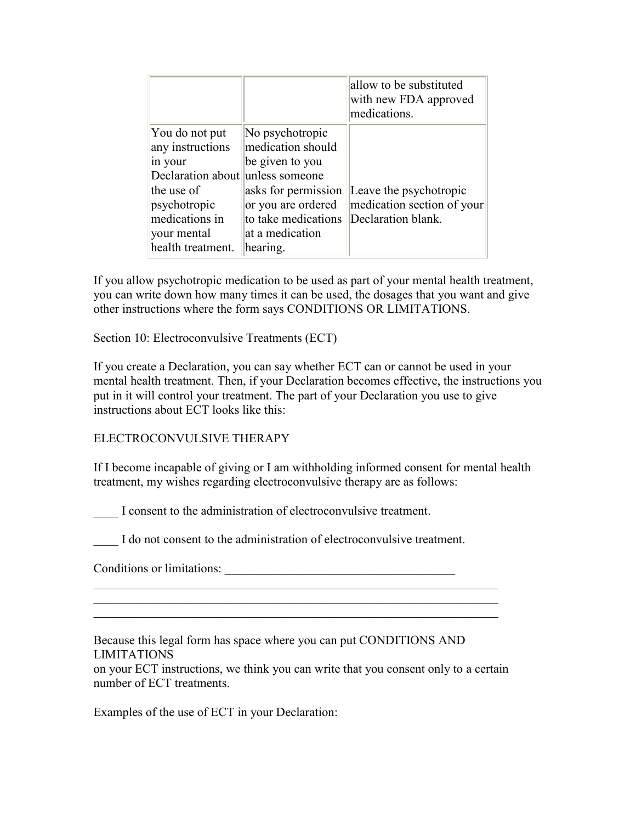|                                                                                                                                                                       |                                                                                                                                                            | allow to be substituted<br>with new FDA approved<br>medications.           |
|-----------------------------------------------------------------------------------------------------------------------------------------------------------------------|------------------------------------------------------------------------------------------------------------------------------------------------------------|----------------------------------------------------------------------------|
| You do not put<br>any instructions<br>in your<br>Declaration about unless someone<br>the use of<br>psychotropic<br>medications in<br>vour mental<br>health treatment. | No psychotropic<br>medication should<br>be given to you<br>asks for permission<br>or you are ordered<br>to take medications<br>at a medication<br>hearing. | Leave the psychotropic<br>medication section of your<br>Declaration blank. |

If you allow psychotropic medication to be used as part of your mental health treatment, you can write down how many times it can be used, the dosages that you want and give other instructions where the form says CONDITIONS OR LIMITATIONS.

Section 10: Electroconvulsive Treatments (ECT)

If you create a Declaration, you can say whether ECT can or cannot be used in your mental health treatment. Then, if your Declaration becomes effective, the instructions you put in it will control your treatment. The part of your Declaration you use to give instructions about ECT looks like this:

## ELECTROCONVULSIVE THERAPY

If I become incapable of giving or I am withholding informed consent for mental health treatment, my wishes regarding electroconvulsive therapy are as follows:

I consent to the administration of electroconvulsive treatment.

I do not consent to the administration of electroconvulsive treatment.

Conditions or limitations: \_\_\_\_\_\_\_\_\_\_\_\_\_\_\_\_\_\_\_\_\_\_\_\_\_\_\_\_\_\_\_\_\_\_\_\_\_

Because this legal form has space where you can put CONDITIONS AND LIMITATIONS

on your ECT instructions, we think you can write that you consent only to a certain number of ECT treatments.

\_\_\_\_\_\_\_\_\_\_\_\_\_\_\_\_\_\_\_\_\_\_\_\_\_\_\_\_\_\_\_\_\_\_\_\_\_\_\_\_\_\_\_\_\_\_\_\_\_\_\_\_\_\_\_\_\_\_\_\_\_\_\_\_\_ \_\_\_\_\_\_\_\_\_\_\_\_\_\_\_\_\_\_\_\_\_\_\_\_\_\_\_\_\_\_\_\_\_\_\_\_\_\_\_\_\_\_\_\_\_\_\_\_\_\_\_\_\_\_\_\_\_\_\_\_\_\_\_\_\_

Examples of the use of ECT in your Declaration: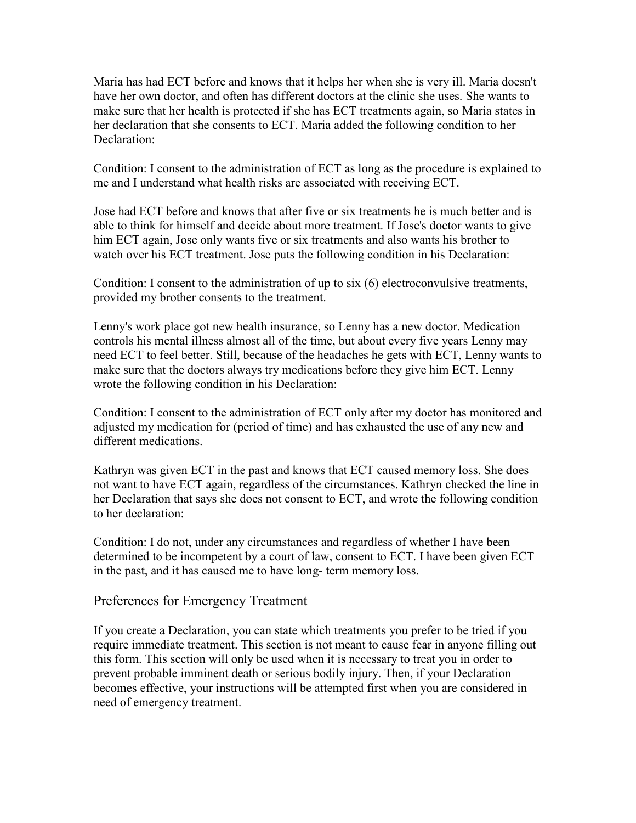Maria has had ECT before and knows that it helps her when she is very ill. Maria doesn't have her own doctor, and often has different doctors at the clinic she uses. She wants to make sure that her health is protected if she has ECT treatments again, so Maria states in her declaration that she consents to ECT. Maria added the following condition to her Declaration<sup>.</sup>

Condition: I consent to the administration of ECT as long as the procedure is explained to me and I understand what health risks are associated with receiving ECT.

Jose had ECT before and knows that after five or six treatments he is much better and is able to think for himself and decide about more treatment. If Jose's doctor wants to give him ECT again, Jose only wants five or six treatments and also wants his brother to watch over his ECT treatment. Jose puts the following condition in his Declaration:

Condition: I consent to the administration of up to six (6) electroconvulsive treatments, provided my brother consents to the treatment.

Lenny's work place got new health insurance, so Lenny has a new doctor. Medication controls his mental illness almost all of the time, but about every five years Lenny may need ECT to feel better. Still, because of the headaches he gets with ECT, Lenny wants to make sure that the doctors always try medications before they give him ECT. Lenny wrote the following condition in his Declaration:

Condition: I consent to the administration of ECT only after my doctor has monitored and adjusted my medication for (period of time) and has exhausted the use of any new and different medications.

Kathryn was given ECT in the past and knows that ECT caused memory loss. She does not want to have ECT again, regardless of the circumstances. Kathryn checked the line in her Declaration that says she does not consent to ECT, and wrote the following condition to her declaration:

Condition: I do not, under any circumstances and regardless of whether I have been determined to be incompetent by a court of law, consent to ECT. I have been given ECT in the past, and it has caused me to have long- term memory loss.

Preferences for Emergency Treatment

If you create a Declaration, you can state which treatments you prefer to be tried if you require immediate treatment. This section is not meant to cause fear in anyone filling out this form. This section will only be used when it is necessary to treat you in order to prevent probable imminent death or serious bodily injury. Then, if your Declaration becomes effective, your instructions will be attempted first when you are considered in need of emergency treatment.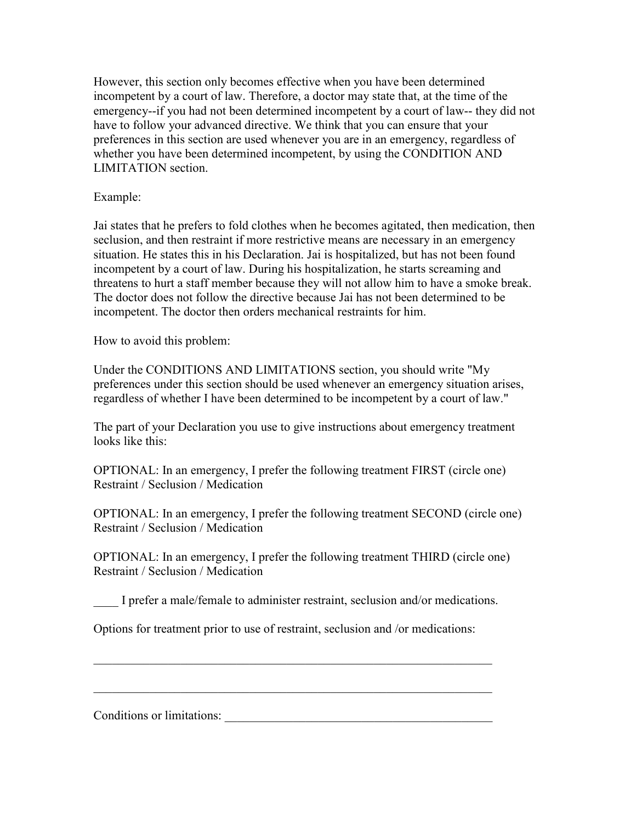However, this section only becomes effective when you have been determined incompetent by a court of law. Therefore, a doctor may state that, at the time of the emergency--if you had not been determined incompetent by a court of law-- they did not have to follow your advanced directive. We think that you can ensure that your preferences in this section are used whenever you are in an emergency, regardless of whether you have been determined incompetent, by using the CONDITION AND LIMITATION section.

Example:

Jai states that he prefers to fold clothes when he becomes agitated, then medication, then seclusion, and then restraint if more restrictive means are necessary in an emergency situation. He states this in his Declaration. Jai is hospitalized, but has not been found incompetent by a court of law. During his hospitalization, he starts screaming and threatens to hurt a staff member because they will not allow him to have a smoke break. The doctor does not follow the directive because Jai has not been determined to be incompetent. The doctor then orders mechanical restraints for him.

How to avoid this problem:

Under the CONDITIONS AND LIMITATIONS section, you should write "My preferences under this section should be used whenever an emergency situation arises, regardless of whether I have been determined to be incompetent by a court of law."

The part of your Declaration you use to give instructions about emergency treatment looks like this:

OPTIONAL: In an emergency, I prefer the following treatment FIRST (circle one) Restraint / Seclusion / Medication

OPTIONAL: In an emergency, I prefer the following treatment SECOND (circle one) Restraint / Seclusion / Medication

OPTIONAL: In an emergency, I prefer the following treatment THIRD (circle one) Restraint / Seclusion / Medication

\_\_\_\_ I prefer a male/female to administer restraint, seclusion and/or medications.

\_\_\_\_\_\_\_\_\_\_\_\_\_\_\_\_\_\_\_\_\_\_\_\_\_\_\_\_\_\_\_\_\_\_\_\_\_\_\_\_\_\_\_\_\_\_\_\_\_\_\_\_\_\_\_\_\_\_\_\_\_\_\_\_

\_\_\_\_\_\_\_\_\_\_\_\_\_\_\_\_\_\_\_\_\_\_\_\_\_\_\_\_\_\_\_\_\_\_\_\_\_\_\_\_\_\_\_\_\_\_\_\_\_\_\_\_\_\_\_\_\_\_\_\_\_\_\_\_

Options for treatment prior to use of restraint, seclusion and /or medications:

Conditions or limitations: \_\_\_\_\_\_\_\_\_\_\_\_\_\_\_\_\_\_\_\_\_\_\_\_\_\_\_\_\_\_\_\_\_\_\_\_\_\_\_\_\_\_\_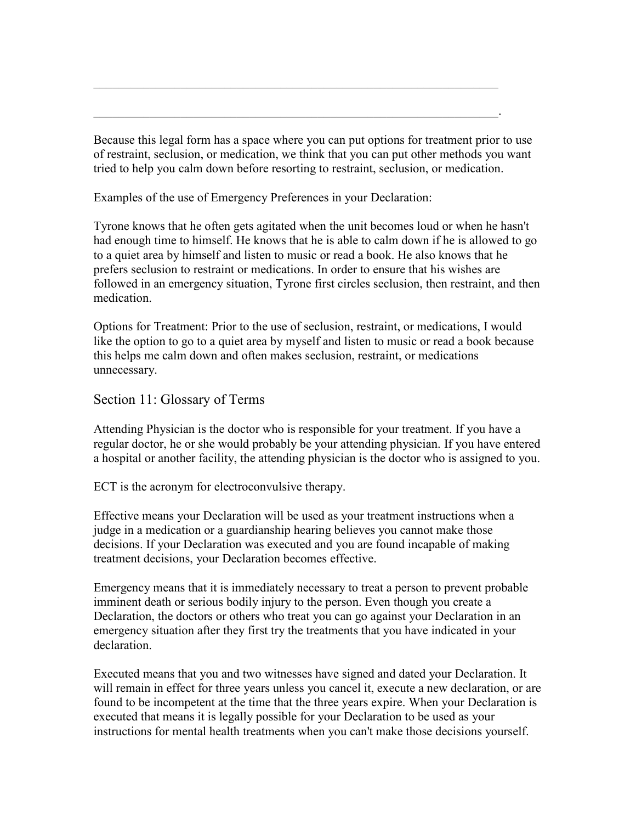Because this legal form has a space where you can put options for treatment prior to use of restraint, seclusion, or medication, we think that you can put other methods you want tried to help you calm down before resorting to restraint, seclusion, or medication.

\_\_\_\_\_\_\_\_\_\_\_\_\_\_\_\_\_\_\_\_\_\_\_\_\_\_\_\_\_\_\_\_\_\_\_\_\_\_\_\_\_\_\_\_\_\_\_\_\_\_\_\_\_\_\_\_\_\_\_\_\_\_\_\_\_

\_\_\_\_\_\_\_\_\_\_\_\_\_\_\_\_\_\_\_\_\_\_\_\_\_\_\_\_\_\_\_\_\_\_\_\_\_\_\_\_\_\_\_\_\_\_\_\_\_\_\_\_\_\_\_\_\_\_\_\_\_\_\_\_\_.

Examples of the use of Emergency Preferences in your Declaration:

Tyrone knows that he often gets agitated when the unit becomes loud or when he hasn't had enough time to himself. He knows that he is able to calm down if he is allowed to go to a quiet area by himself and listen to music or read a book. He also knows that he prefers seclusion to restraint or medications. In order to ensure that his wishes are followed in an emergency situation, Tyrone first circles seclusion, then restraint, and then medication.

Options for Treatment: Prior to the use of seclusion, restraint, or medications, I would like the option to go to a quiet area by myself and listen to music or read a book because this helps me calm down and often makes seclusion, restraint, or medications unnecessary.

Section 11: Glossary of Terms

Attending Physician is the doctor who is responsible for your treatment. If you have a regular doctor, he or she would probably be your attending physician. If you have entered a hospital or another facility, the attending physician is the doctor who is assigned to you.

ECT is the acronym for electroconvulsive therapy.

Effective means your Declaration will be used as your treatment instructions when a judge in a medication or a guardianship hearing believes you cannot make those decisions. If your Declaration was executed and you are found incapable of making treatment decisions, your Declaration becomes effective.

Emergency means that it is immediately necessary to treat a person to prevent probable imminent death or serious bodily injury to the person. Even though you create a Declaration, the doctors or others who treat you can go against your Declaration in an emergency situation after they first try the treatments that you have indicated in your declaration.

Executed means that you and two witnesses have signed and dated your Declaration. It will remain in effect for three years unless you cancel it, execute a new declaration, or are found to be incompetent at the time that the three years expire. When your Declaration is executed that means it is legally possible for your Declaration to be used as your instructions for mental health treatments when you can't make those decisions yourself.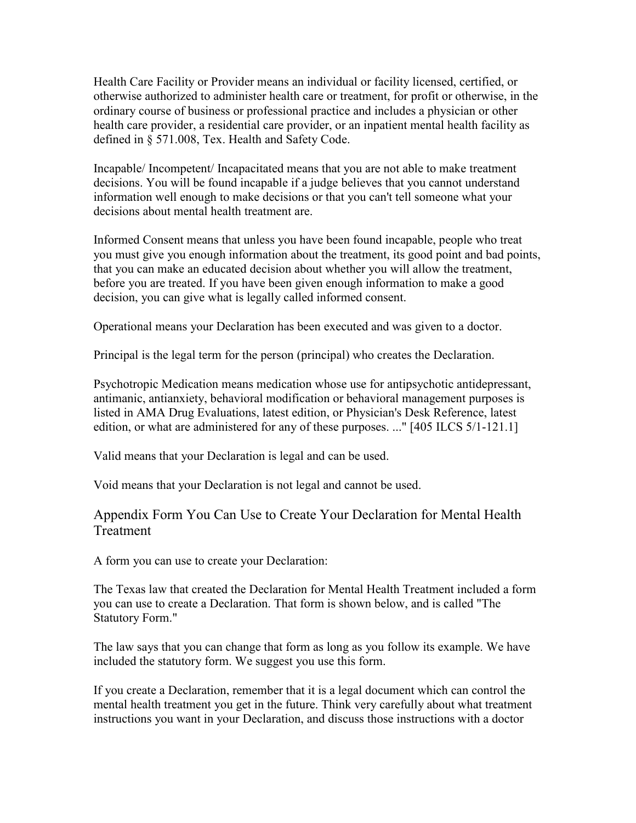Health Care Facility or Provider means an individual or facility licensed, certified, or otherwise authorized to administer health care or treatment, for profit or otherwise, in the ordinary course of business or professional practice and includes a physician or other health care provider, a residential care provider, or an inpatient mental health facility as defined in § 571.008, Tex. Health and Safety Code.

Incapable/ Incompetent/ Incapacitated means that you are not able to make treatment decisions. You will be found incapable if a judge believes that you cannot understand information well enough to make decisions or that you can't tell someone what your decisions about mental health treatment are.

Informed Consent means that unless you have been found incapable, people who treat you must give you enough information about the treatment, its good point and bad points, that you can make an educated decision about whether you will allow the treatment, before you are treated. If you have been given enough information to make a good decision, you can give what is legally called informed consent.

Operational means your Declaration has been executed and was given to a doctor.

Principal is the legal term for the person (principal) who creates the Declaration.

Psychotropic Medication means medication whose use for antipsychotic antidepressant, antimanic, antianxiety, behavioral modification or behavioral management purposes is listed in AMA Drug Evaluations, latest edition, or Physician's Desk Reference, latest edition, or what are administered for any of these purposes. ..." [405 ILCS 5/1-121.1]

Valid means that your Declaration is legal and can be used.

Void means that your Declaration is not legal and cannot be used.

# Appendix Form You Can Use to Create Your Declaration for Mental Health Treatment

A form you can use to create your Declaration:

The Texas law that created the Declaration for Mental Health Treatment included a form you can use to create a Declaration. That form is shown below, and is called "The Statutory Form."

The law says that you can change that form as long as you follow its example. We have included the statutory form. We suggest you use this form.

If you create a Declaration, remember that it is a legal document which can control the mental health treatment you get in the future. Think very carefully about what treatment instructions you want in your Declaration, and discuss those instructions with a doctor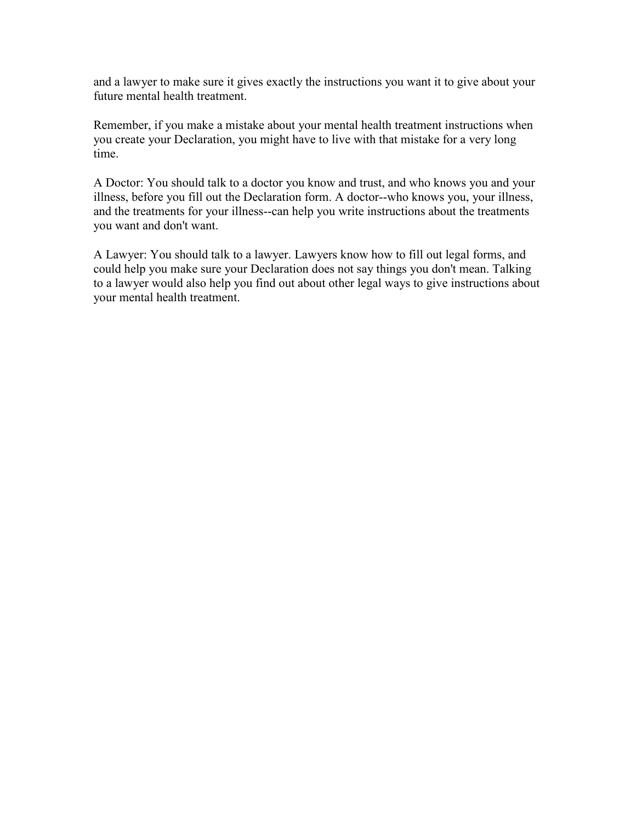and a lawyer to make sure it gives exactly the instructions you want it to give about your future mental health treatment.

Remember, if you make a mistake about your mental health treatment instructions when you create your Declaration, you might have to live with that mistake for a very long time.

A Doctor: You should talk to a doctor you know and trust, and who knows you and your illness, before you fill out the Declaration form. A doctor--who knows you, your illness, and the treatments for your illness--can help you write instructions about the treatments you want and don't want.

A Lawyer: You should talk to a lawyer. Lawyers know how to fill out legal forms, and could help you make sure your Declaration does not say things you don't mean. Talking to a lawyer would also help you find out about other legal ways to give instructions about your mental health treatment.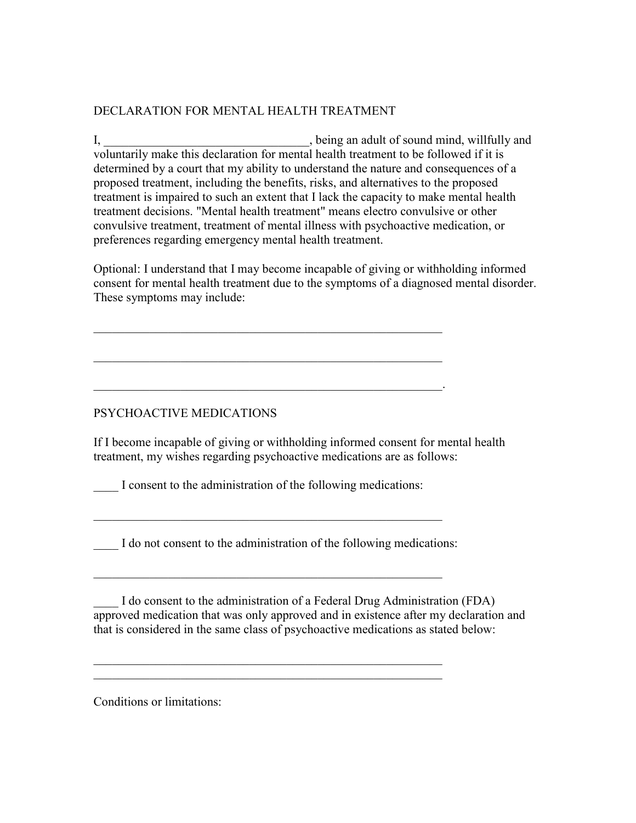## DECLARATION FOR MENTAL HEALTH TREATMENT

I, being an adult of sound mind, willfully and voluntarily make this declaration for mental health treatment to be followed if it is determined by a court that my ability to understand the nature and consequences of a proposed treatment, including the benefits, risks, and alternatives to the proposed treatment is impaired to such an extent that I lack the capacity to make mental health treatment decisions. "Mental health treatment" means electro convulsive or other convulsive treatment, treatment of mental illness with psychoactive medication, or preferences regarding emergency mental health treatment.

Optional: I understand that I may become incapable of giving or withholding informed consent for mental health treatment due to the symptoms of a diagnosed mental disorder. These symptoms may include:

PSYCHOACTIVE MEDICATIONS

If I become incapable of giving or withholding informed consent for mental health treatment, my wishes regarding psychoactive medications are as follows:

I consent to the administration of the following medications:

\_\_\_\_\_\_\_\_\_\_\_\_\_\_\_\_\_\_\_\_\_\_\_\_\_\_\_\_\_\_\_\_\_\_\_\_\_\_\_\_\_\_\_\_\_\_\_\_\_\_\_\_\_\_\_\_

\_\_\_\_\_\_\_\_\_\_\_\_\_\_\_\_\_\_\_\_\_\_\_\_\_\_\_\_\_\_\_\_\_\_\_\_\_\_\_\_\_\_\_\_\_\_\_\_\_\_\_\_\_\_\_\_

\_\_\_\_\_\_\_\_\_\_\_\_\_\_\_\_\_\_\_\_\_\_\_\_\_\_\_\_\_\_\_\_\_\_\_\_\_\_\_\_\_\_\_\_\_\_\_\_\_\_\_\_\_\_\_\_

\_\_\_\_\_\_\_\_\_\_\_\_\_\_\_\_\_\_\_\_\_\_\_\_\_\_\_\_\_\_\_\_\_\_\_\_\_\_\_\_\_\_\_\_\_\_\_\_\_\_\_\_\_\_\_\_

\_\_\_\_\_\_\_\_\_\_\_\_\_\_\_\_\_\_\_\_\_\_\_\_\_\_\_\_\_\_\_\_\_\_\_\_\_\_\_\_\_\_\_\_\_\_\_\_\_\_\_\_\_\_\_\_

\_\_\_\_\_\_\_\_\_\_\_\_\_\_\_\_\_\_\_\_\_\_\_\_\_\_\_\_\_\_\_\_\_\_\_\_\_\_\_\_\_\_\_\_\_\_\_\_\_\_\_\_\_\_\_\_.

I do not consent to the administration of the following medications:

\_\_\_\_ I do consent to the administration of a Federal Drug Administration (FDA) approved medication that was only approved and in existence after my declaration and that is considered in the same class of psychoactive medications as stated below:

Conditions or limitations: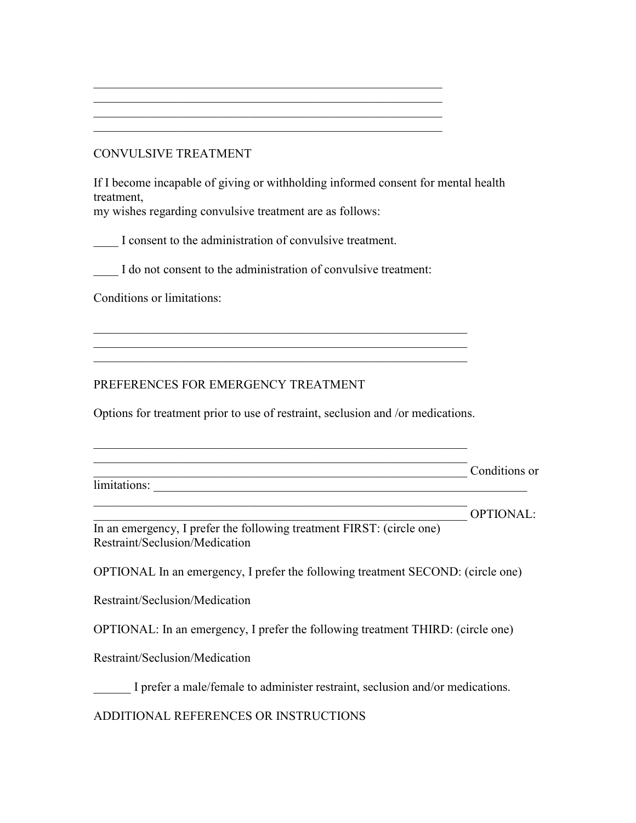## CONVULSIVE TREATMENT

If I become incapable of giving or withholding informed consent for mental health treatment,

my wishes regarding convulsive treatment are as follows:

I consent to the administration of convulsive treatment.

I do not consent to the administration of convulsive treatment:

\_\_\_\_\_\_\_\_\_\_\_\_\_\_\_\_\_\_\_\_\_\_\_\_\_\_\_\_\_\_\_\_\_\_\_\_\_\_\_\_\_\_\_\_\_\_\_\_\_\_\_\_\_\_\_\_ \_\_\_\_\_\_\_\_\_\_\_\_\_\_\_\_\_\_\_\_\_\_\_\_\_\_\_\_\_\_\_\_\_\_\_\_\_\_\_\_\_\_\_\_\_\_\_\_\_\_\_\_\_\_\_\_ \_\_\_\_\_\_\_\_\_\_\_\_\_\_\_\_\_\_\_\_\_\_\_\_\_\_\_\_\_\_\_\_\_\_\_\_\_\_\_\_\_\_\_\_\_\_\_\_\_\_\_\_\_\_\_\_ \_\_\_\_\_\_\_\_\_\_\_\_\_\_\_\_\_\_\_\_\_\_\_\_\_\_\_\_\_\_\_\_\_\_\_\_\_\_\_\_\_\_\_\_\_\_\_\_\_\_\_\_\_\_\_\_

Conditions or limitations:

PREFERENCES FOR EMERGENCY TREATMENT

Options for treatment prior to use of restraint, seclusion and /or medications.

 $\mathcal{L}_\text{G}$  , and the contribution of the contribution of the contribution of the contribution of the contribution of the contribution of the contribution of the contribution of the contribution of the contribution of t  $\mathcal{L}_\text{G}$  , and the contribution of the contribution of the contribution of the contribution of the contribution of the contribution of the contribution of the contribution of the contribution of the contribution of t  $\mathcal{L}_\text{G}$  , and the contribution of the contribution of the contribution of the contribution of the contribution of the contribution of the contribution of the contribution of the contribution of the contribution of t

|              | Conditions or |
|--------------|---------------|
| limitations: |               |

OPTIONAL: In an emergency, I prefer the following treatment FIRST: (circle one) Restraint/Seclusion/Medication

 $\mathcal{L}_\text{G}$  , and the contribution of the contribution of the contribution of the contribution of the contribution of the contribution of the contribution of the contribution of the contribution of the contribution of t

OPTIONAL In an emergency, I prefer the following treatment SECOND: (circle one)

Restraint/Seclusion/Medication

OPTIONAL: In an emergency, I prefer the following treatment THIRD: (circle one)

Restraint/Seclusion/Medication

\_\_\_\_\_\_ I prefer a male/female to administer restraint, seclusion and/or medications.

ADDITIONAL REFERENCES OR INSTRUCTIONS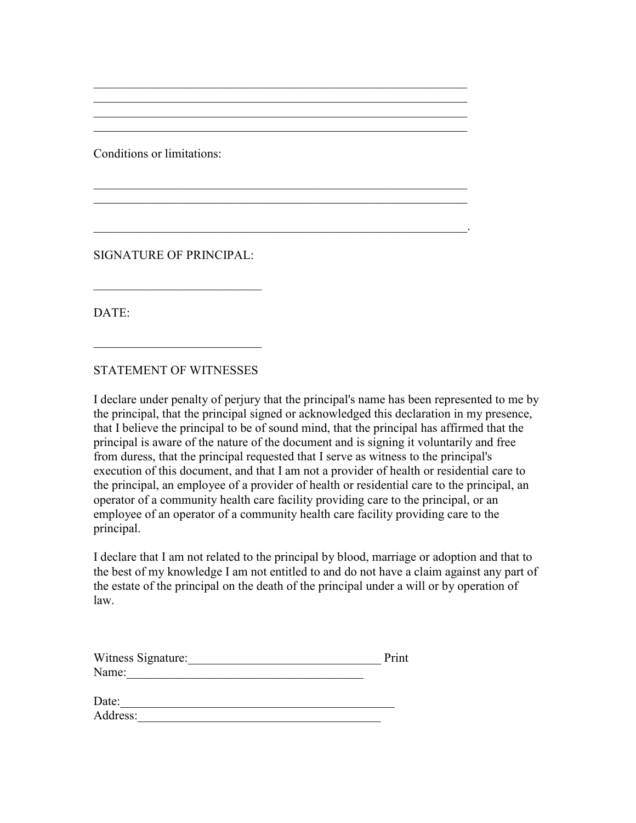Conditions or limitations:

SIGNATURE OF PRINCIPAL:

 $\overline{\phantom{a}}$  , which is a set of the set of the set of the set of the set of the set of the set of the set of the set of the set of the set of the set of the set of the set of the set of the set of the set of the set of th

DATE:

STATEMENT OF WITNESSES

 $\overline{\phantom{a}}$  , which is a set of the set of the set of the set of the set of the set of the set of the set of the set of the set of the set of the set of the set of the set of the set of the set of the set of the set of th

I declare under penalty of perjury that the principal's name has been represented to me by the principal, that the principal signed or acknowledged this declaration in my presence, that I believe the principal to be of sound mind, that the principal has affirmed that the principal is aware of the nature of the document and is signing it voluntarily and free from duress, that the principal requested that I serve as witness to the principal's execution of this document, and that I am not a provider of health or residential care to the principal, an employee of a provider of health or residential care to the principal, an operator of a community health care facility providing care to the principal, or an employee of an operator of a community health care facility providing care to the principal.

 $\mathcal{L}_\text{G}$  , and the contribution of the contribution of the contribution of the contribution of the contribution of the contribution of the contribution of the contribution of the contribution of the contribution of t

 $\_$  $\mathcal{L}_\text{G}$  , and the contribution of the contribution of the contribution of the contribution of the contribution of the contribution of the contribution of the contribution of the contribution of the contribution of t

 $\mathcal{L}_\text{G}$  , and the contribution of the contribution of the contribution of the contribution of the contribution of the contribution of the contribution of the contribution of the contribution of the contribution of t  $\mathcal{L}_\text{G}$  , and the contribution of the contribution of the contribution of the contribution of the contribution of the contribution of the contribution of the contribution of the contribution of the contribution of t

 $\overline{\phantom{a}}$  ,  $\overline{\phantom{a}}$  ,  $\overline{\phantom{a}}$  ,  $\overline{\phantom{a}}$  ,  $\overline{\phantom{a}}$  ,  $\overline{\phantom{a}}$  ,  $\overline{\phantom{a}}$  ,  $\overline{\phantom{a}}$  ,  $\overline{\phantom{a}}$  ,  $\overline{\phantom{a}}$  ,  $\overline{\phantom{a}}$  ,  $\overline{\phantom{a}}$  ,  $\overline{\phantom{a}}$  ,  $\overline{\phantom{a}}$  ,  $\overline{\phantom{a}}$  ,  $\overline{\phantom{a}}$ 

I declare that I am not related to the principal by blood, marriage or adoption and that to the best of my knowledge I am not entitled to and do not have a claim against any part of the estate of the principal on the death of the principal under a will or by operation of law.

| Witness Signature: | Print |
|--------------------|-------|
| Name:              |       |
|                    |       |

| Date     |  |  |  |
|----------|--|--|--|
| Address: |  |  |  |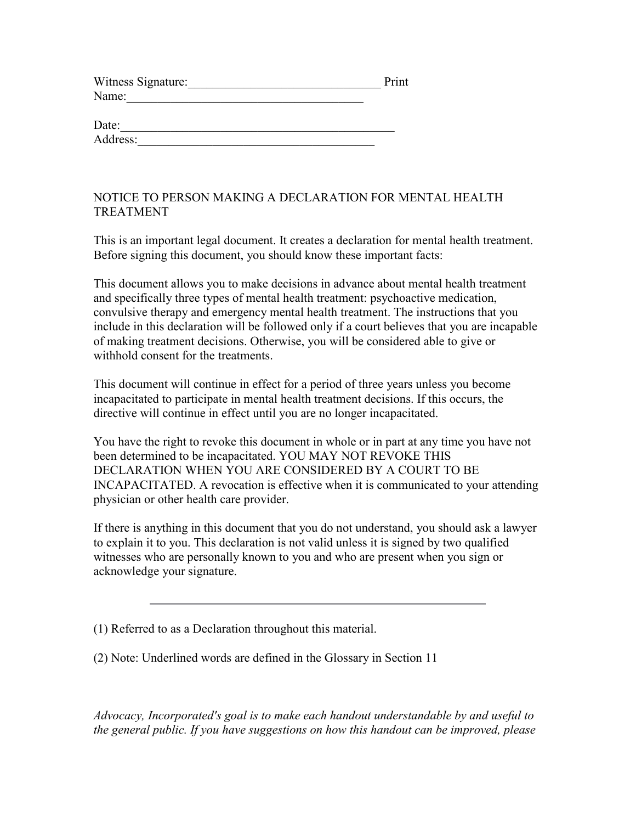| Witness Signature: | Print |
|--------------------|-------|
| Name:              |       |

| Date:    |  |  |  |
|----------|--|--|--|
| Address: |  |  |  |

# NOTICE TO PERSON MAKING A DECLARATION FOR MENTAL HEALTH TREATMENT

This is an important legal document. It creates a declaration for mental health treatment. Before signing this document, you should know these important facts:

This document allows you to make decisions in advance about mental health treatment and specifically three types of mental health treatment: psychoactive medication, convulsive therapy and emergency mental health treatment. The instructions that you include in this declaration will be followed only if a court believes that you are incapable of making treatment decisions. Otherwise, you will be considered able to give or withhold consent for the treatments.

This document will continue in effect for a period of three years unless you become incapacitated to participate in mental health treatment decisions. If this occurs, the directive will continue in effect until you are no longer incapacitated.

You have the right to revoke this document in whole or in part at any time you have not been determined to be incapacitated. YOU MAY NOT REVOKE THIS DECLARATION WHEN YOU ARE CONSIDERED BY A COURT TO BE INCAPACITATED. A revocation is effective when it is communicated to your attending physician or other health care provider.

If there is anything in this document that you do not understand, you should ask a lawyer to explain it to you. This declaration is not valid unless it is signed by two qualified witnesses who are personally known to you and who are present when you sign or acknowledge your signature.

(1) Referred to as a Declaration throughout this material.

(2) Note: Underlined words are defined in the Glossary in Section 11

Advocacy, Incorporated's goal is to make each handout understandable by and useful to the general public. If you have suggestions on how this handout can be improved, please